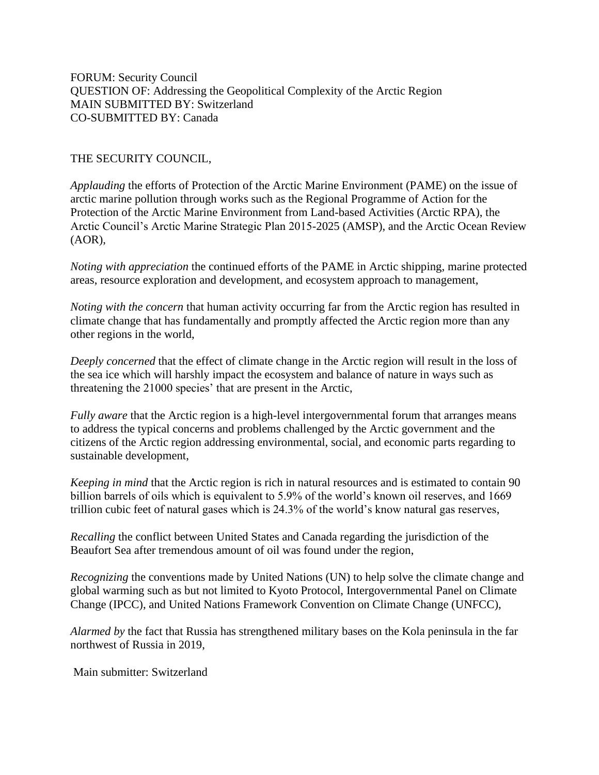FORUM: Security Council QUESTION OF: Addressing the Geopolitical Complexity of the Arctic Region MAIN SUBMITTED BY: Switzerland CO-SUBMITTED BY: Canada

THE SECURITY COUNCIL,

*Applauding* the efforts of Protection of the Arctic Marine Environment (PAME) on the issue of arctic marine pollution through works such as the Regional Programme of Action for the Protection of the Arctic Marine Environment from Land-based Activities (Arctic RPA), the Arctic Council's Arctic Marine Strategic Plan 2015-2025 (AMSP), and the Arctic Ocean Review (AOR),

*Noting with appreciation* the continued efforts of the PAME in Arctic shipping, marine protected areas, resource exploration and development, and ecosystem approach to management,

*Noting with the concern* that human activity occurring far from the Arctic region has resulted in climate change that has fundamentally and promptly affected the Arctic region more than any other regions in the world,

*Deeply concerned* that the effect of climate change in the Arctic region will result in the loss of the sea ice which will harshly impact the ecosystem and balance of nature in ways such as threatening the 21000 species' that are present in the Arctic,

*Fully aware* that the Arctic region is a high-level intergovernmental forum that arranges means to address the typical concerns and problems challenged by the Arctic government and the citizens of the Arctic region addressing environmental, social, and economic parts regarding to sustainable development,

*Keeping in mind* that the Arctic region is rich in natural resources and is estimated to contain 90 billion barrels of oils which is equivalent to 5.9% of the world's known oil reserves, and 1669 trillion cubic feet of natural gases which is 24.3% of the world's know natural gas reserves,

*Recalling* the conflict between United States and Canada regarding the jurisdiction of the Beaufort Sea after tremendous amount of oil was found under the region,

*Recognizing* the conventions made by United Nations (UN) to help solve the climate change and global warming such as but not limited to Kyoto Protocol, Intergovernmental Panel on Climate Change (IPCC), and United Nations Framework Convention on Climate Change (UNFCC),

*Alarmed by* the fact that Russia has strengthened military bases on the Kola peninsula in the far northwest of Russia in 2019,

Main submitter: Switzerland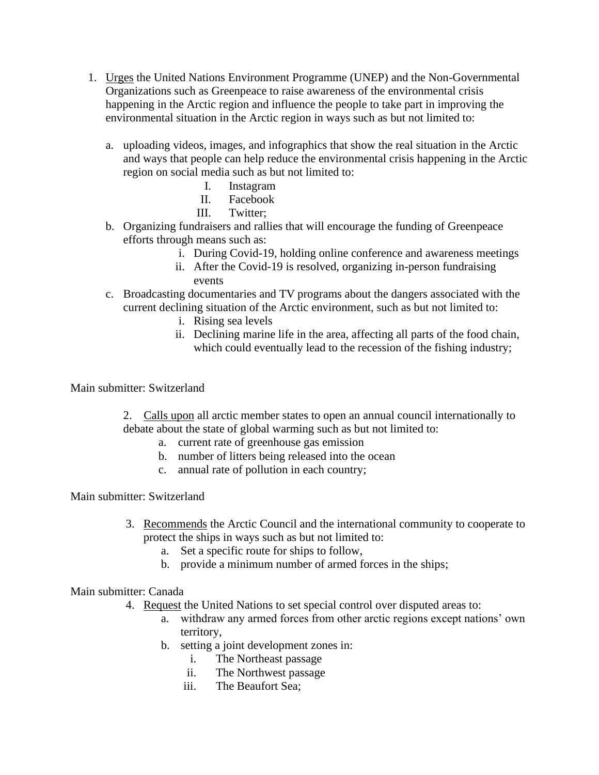- 1. Urges the United Nations Environment Programme (UNEP) and the Non-Governmental Organizations such as Greenpeace to raise awareness of the environmental crisis happening in the Arctic region and influence the people to take part in improving the environmental situation in the Arctic region in ways such as but not limited to:
	- a. uploading videos, images, and infographics that show the real situation in the Arctic and ways that people can help reduce the environmental crisis happening in the Arctic region on social media such as but not limited to:
		- I. Instagram
		- II. Facebook
		- III. Twitter;
	- b. Organizing fundraisers and rallies that will encourage the funding of Greenpeace efforts through means such as:
		- i. During Covid-19, holding online conference and awareness meetings
		- ii. After the Covid-19 is resolved, organizing in-person fundraising events
	- c. Broadcasting documentaries and TV programs about the dangers associated with the current declining situation of the Arctic environment, such as but not limited to:
		- i. Rising sea levels
		- ii. Declining marine life in the area, affecting all parts of the food chain, which could eventually lead to the recession of the fishing industry;

## Main submitter: Switzerland

2. Calls upon all arctic member states to open an annual council internationally to debate about the state of global warming such as but not limited to:

- a. current rate of greenhouse gas emission
- b. number of litters being released into the ocean
- c. annual rate of pollution in each country;

## Main submitter: Switzerland

- 3. Recommends the Arctic Council and the international community to cooperate to protect the ships in ways such as but not limited to:
	- a. Set a specific route for ships to follow,
	- b. provide a minimum number of armed forces in the ships;

## Main submitter: Canada

- 4. Request the United Nations to set special control over disputed areas to:
	- a. withdraw any armed forces from other arctic regions except nations' own territory,
	- b. setting a joint development zones in:
		- i. The Northeast passage
		- ii. The Northwest passage
		- iii. The Beaufort Sea;